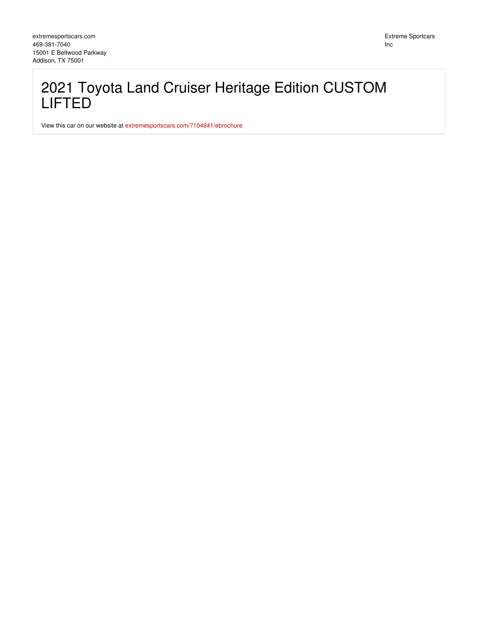Extreme Sportcars Inc

## 2021 Toyota Land Cruiser Heritage Edition CUSTOM LIFTED

View this car on our website at [extremesportscars.com/7104841/ebrochure](https://extremesportscars.com/vehicle/7104841/2021-toyota-land-cruiser-heritage-edition-custom-lifted-addison-tx-75001/7104841/ebrochure)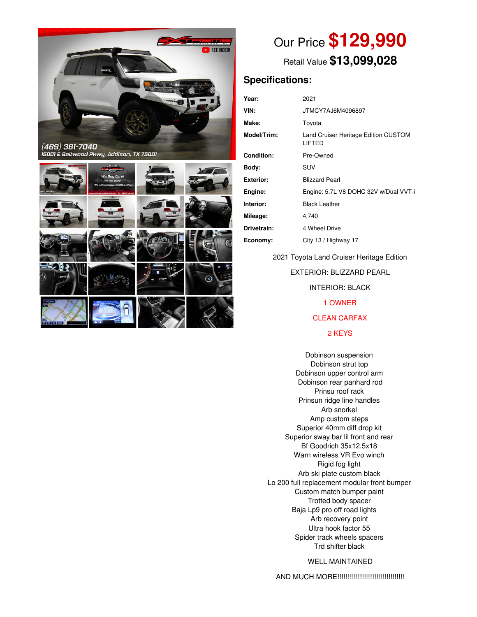

.<br>15001 E Beltwood Pkwy, Addison, TX 75001



# Our Price **\$129,990**

Retail Value **\$13,099,028**

### **Specifications:**

| Year:       | 2021                                           |
|-------------|------------------------------------------------|
| VIN:        | JTMCY7AJ6M4096897                              |
| Make:       | Toyota                                         |
| Model/Trim: | Land Cruiser Heritage Edition CUSTOM<br>LIFTED |
| Condition:  | Pre-Owned                                      |
| Body:       | SUV                                            |
| Exterior:   | <b>Blizzard Pearl</b>                          |
| Engine:     | Engine: 5.7L V8 DOHC 32V w/Dual VVT-i          |
| Interior:   | <b>Black Leather</b>                           |
| Mileage:    | 4,740                                          |
| Drivetrain: | 4 Wheel Drive                                  |
| Economy:    | City 13 / Highway 17                           |
|             |                                                |

2021 Toyota Land Cruiser Heritage Edition

EXTERIOR: BLIZZARD PEARL

INTERIOR: BLACK

1 OWNER

#### CLEAN CARFAX

#### 2 KEYS

Dobinson suspension Dobinson strut top Dobinson upper control arm Dobinson rear panhard rod Prinsu roof rack Prinsun ridge line handles Arb snorkel Amp custom steps Superior 40mm diff drop kit Superior sway bar lil front and rear Bf Goodrich 35x12.5x18 Warn wireless VR Evo winch Rigid fog light Arb ski plate custom black Lo 200 full replacement modular front bumper Custom match bumper paint Trotted body spacer Baja Lp9 pro off road lights Arb recovery point Ultra hook factor 55 Spider track wheels spacers Trd shifter black

#### WELL MAINTAINED

AND MUCH MORE!!!!!!!!!!!!!!!!!!!!!!!!!!!!!!!!!!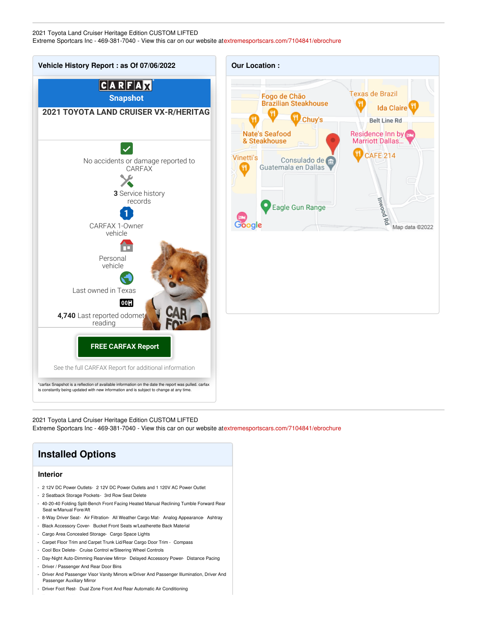#### 2021 Toyota Land Cruiser Heritage Edition CUSTOM LIFTED Extreme Sportcars Inc - 469-381-7040 - View this car on our website at[extremesportscars.com/7104841/ebrochure](https://extremesportscars.com/vehicle/7104841/2021-toyota-land-cruiser-heritage-edition-custom-lifted-addison-tx-75001/7104841/ebrochure)



2021 Toyota Land Cruiser Heritage Edition CUSTOM LIFTED Extreme Sportcars Inc - 469-381-7040 - View this car on our website at[extremesportscars.com/7104841/ebrochure](https://extremesportscars.com/vehicle/7104841/2021-toyota-land-cruiser-heritage-edition-custom-lifted-addison-tx-75001/7104841/ebrochure)



- Driver Foot Rest- Dual Zone Front And Rear Automatic Air Conditioning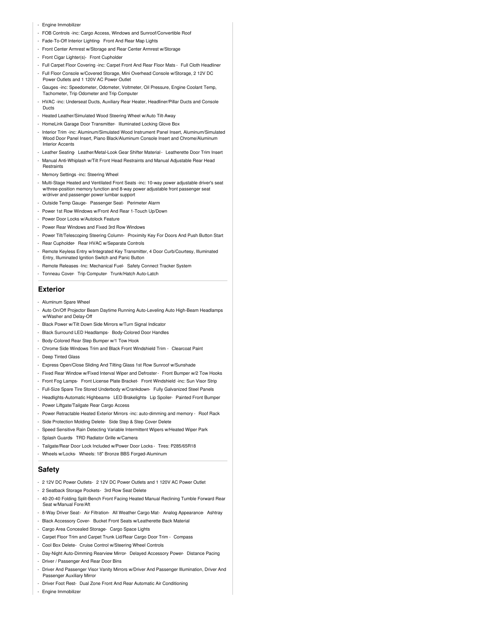- Engine Immobilizer
- FOB Controls -inc: Cargo Access, Windows and Sunroof/Convertible Roof
- Fade-To-Off Interior Lighting- Front And Rear Map Lights
- Front Center Armrest w/Storage and Rear Center Armrest w/Storage
- Front Cigar Lighter(s)- Front Cupholder
- Full Carpet Floor Covering -inc: Carpet Front And Rear Floor Mats Full Cloth Headliner
- Full Floor Console w/Covered Storage, Mini Overhead Console w/Storage, 2 12V DC Power Outlets and 1 120V AC Power Outlet
- Gauges -inc: Speedometer, Odometer, Voltmeter, Oil Pressure, Engine Coolant Temp, Tachometer, Trip Odometer and Trip Computer
- HVAC -inc: Underseat Ducts, Auxiliary Rear Heater, Headliner/Pillar Ducts and Console Ducts
- Heated Leather/Simulated Wood Steering Wheel w/Auto Tilt-Away
- HomeLink Garage Door Transmitter- Illuminated Locking Glove Box
- Interior Trim -inc: Aluminum/Simulated Wood Instrument Panel Insert, Aluminum/Simulated Wood Door Panel Insert, Piano Black/Aluminum Console Insert and Chrome/Aluminum Interior Accents
- Leather Seating- Leather/Metal-Look Gear Shifter Material Leatherette Door Trim Insert - Manual Anti-Whiplash w/Tilt Front Head Restraints and Manual Adjustable Rear Head
- Restraints
- Memory Settings -inc: Steering Wheel
- Multi-Stage Heated and Ventilated Front Seats -inc: 10-way power adjustable driver's seat w/three-position memory function and 8-way power adjustable front passenger seat w/driver and passenger power lumbar support
- Outside Temp Gauge- Passenger Seat- Perimeter Alarm
- Power 1st Row Windows w/Front And Rear 1-Touch Up/Down
- Power Door Locks w/Autolock Feature
- Power Rear Windows and Fixed 3rd Row Windows
- Power Tilt/Telescoping Steering Column- Proximity Key For Doors And Push Button Start
- Rear Cupholder- Rear HVAC w/Separate Controls
- Remote Keyless Entry w/Integrated Key Transmitter, 4 Door Curb/Courtesy, Illuminated Entry, Illuminated Ignition Switch and Panic Button
- Remote Releases -Inc: Mechanical Fuel- Safety Connect Tracker System
- Tonneau Cover- Trip Computer- Trunk/Hatch Auto-Latch

#### **Exterior**

- Aluminum Spare Wheel
- Auto On/Off Projector Beam Daytime Running Auto-Leveling Auto High-Beam Headlamps w/Washer and Delay-Off
- Black Power w/Tilt Down Side Mirrors w/Turn Signal Indicator
- Black Surround LED Headlamps- Body-Colored Door Handles
- Body-Colored Rear Step Bumper w/1 Tow Hook
- Chrome Side Windows Trim and Black Front Windshield Trim Clearcoat Paint
- Deep Tinted Glass
- Express Open/Close Sliding And Tilting Glass 1st Row Sunroof w/Sunshade
- Fixed Rear Window w/Fixed Interval Wiper and Defroster- Front Bumper w/2 Tow Hooks
- Front Fog Lamps- Front License Plate Bracket- Front Windshield -inc: Sun Visor Strip
- Full-Size Spare Tire Stored Underbody w/Crankdown- Fully Galvanized Steel Panels
- Headlights-Automatic Highbeams- LED Brakelights- Lip Spoiler- Painted Front Bumper - Power Liftgate/Tailgate Rear Cargo Access
- Power Retractable Heated Exterior Mirrors -inc: auto-dimming and memory Roof Rack
- Side Protection Molding Delete- Side Step & Step Cover Delete
- Speed Sensitive Rain Detecting Variable Intermittent Wipers w/Heated Wiper Park
- Splash Guards- TRD Radiator Grille w/Camera
- Tailgate/Rear Door Lock Included w/Power Door Locks Tires: P285/65R18
- Wheels w/Locks- Wheels: 18" Bronze BBS Forged-Aluminum

#### **Safety**

- 2 12V DC Power Outlets- 2 12V DC Power Outlets and 1 120V AC Power Outlet
- 2 Seatback Storage Pockets- 3rd Row Seat Delete
- 40-20-40 Folding Split-Bench Front Facing Heated Manual Reclining Tumble Forward Rear Seat w/Manual Fore/Aft
- 8-Way Driver Seat- Air Filtration- All Weather Cargo Mat- Analog Appearance- Ashtray
- Black Accessory Cover- Bucket Front Seats w/Leatherette Back Material
- Cargo Area Concealed Storage- Cargo Space Lights
- Carpet Floor Trim and Carpet Trunk Lid/Rear Cargo Door Trim Compass
- Cool Box Delete- Cruise Control w/Steering Wheel Controls
- Day-Night Auto-Dimming Rearview Mirror- Delayed Accessory Power- Distance Pacing
- Driver / Passenger And Rear Door Bins
- Driver And Passenger Visor Vanity Mirrors w/Driver And Passenger Illumination, Driver And Passenger Auxiliary Mirror
- Driver Foot Rest- Dual Zone Front And Rear Automatic Air Conditioning
- Engine Immobilizer